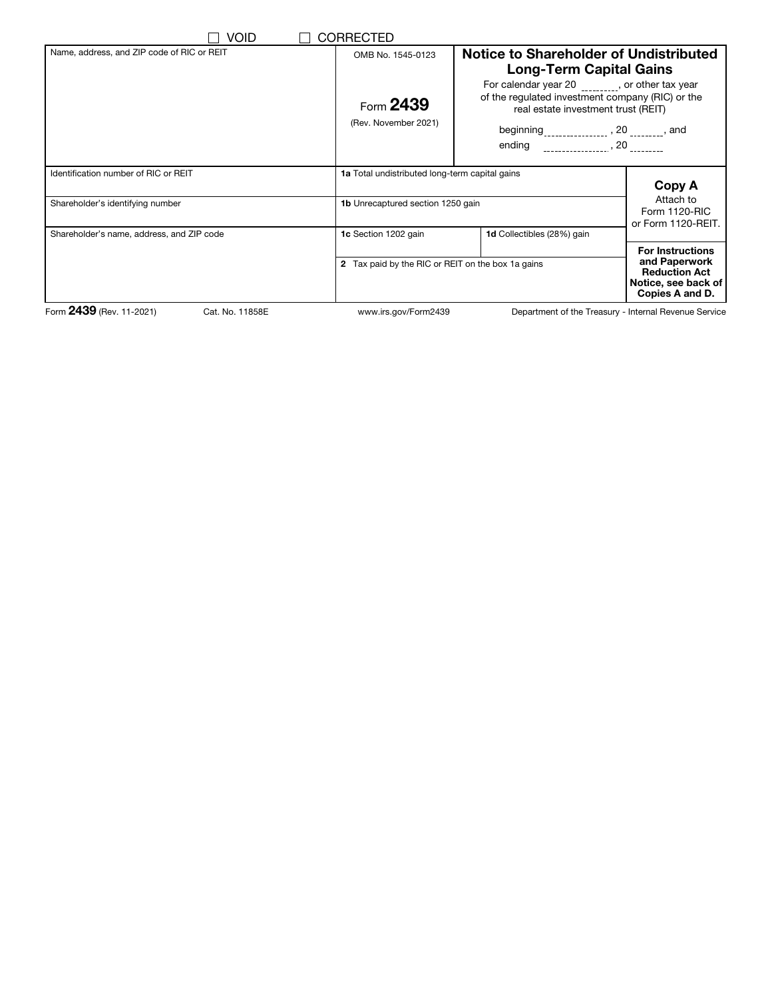| Void                                        | <b>CORRECTED</b>                                  |                                                                                                                                                                                                                          |                                                                                                            |
|---------------------------------------------|---------------------------------------------------|--------------------------------------------------------------------------------------------------------------------------------------------------------------------------------------------------------------------------|------------------------------------------------------------------------------------------------------------|
| Name, address, and ZIP code of RIC or REIT  | OMB No. 1545-0123                                 | Notice to Shareholder of Undistributed<br><b>Long-Term Capital Gains</b><br>For calendar year 20 _________, or other tax year<br>of the regulated investment company (RIC) or the<br>real estate investment trust (REIT) |                                                                                                            |
|                                             | Form 2439<br>(Rev. November 2021)                 |                                                                                                                                                                                                                          |                                                                                                            |
|                                             |                                                   | beginning <sub>________________</sub> , 20 ________, and<br>ending _________________, 20 _________                                                                                                                       |                                                                                                            |
| Identification number of RIC or REIT        |                                                   | 1a Total undistributed long-term capital gains<br>Copy A<br>Attach to                                                                                                                                                    |                                                                                                            |
| Shareholder's identifying number            |                                                   | <b>1b</b> Unrecaptured section 1250 gain<br>Form 1120-RIC<br>or Form 1120-REIT.                                                                                                                                          |                                                                                                            |
| Shareholder's name, address, and ZIP code   | 1c Section 1202 gain                              | 1d Collectibles (28%) gain                                                                                                                                                                                               |                                                                                                            |
|                                             | 2 Tax paid by the RIC or REIT on the box 1a gains |                                                                                                                                                                                                                          | <b>For Instructions</b><br>and Paperwork<br><b>Reduction Act</b><br>Notice, see back of<br>Copies A and D. |
| Form 2439 (Rev. 11-2021)<br>Cat. No. 11858E | www.irs.gov/Form2439                              |                                                                                                                                                                                                                          | Department of the Treasury - Internal Revenue Service                                                      |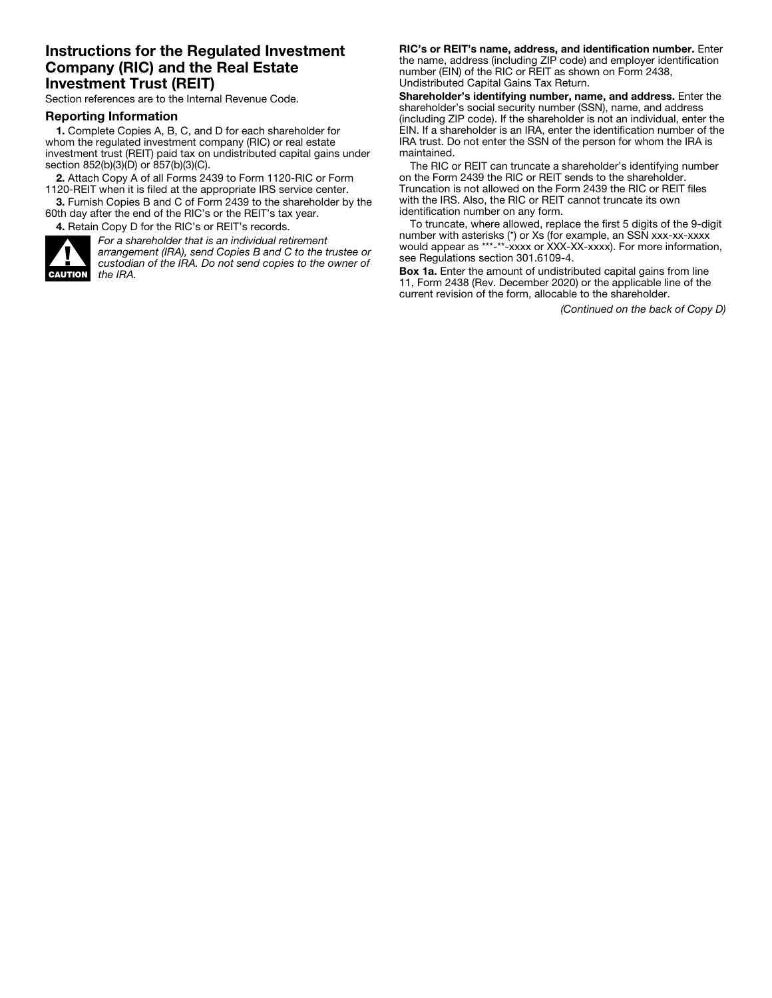### Instructions for the Regulated Investment Company (RIC) and the Real Estate Investment Trust (REIT)

Section references are to the Internal Revenue Code.

#### Reporting Information

1. Complete Copies A, B, C, and D for each shareholder for whom the regulated investment company (RIC) or real estate investment trust (REIT) paid tax on undistributed capital gains under section 852(b)(3)(D) or 857(b)(3)(C).

2. Attach Copy A of all Forms 2439 to Form 1120-RIC or Form 1120-REIT when it is filed at the appropriate IRS service center.

3. Furnish Copies B and C of Form 2439 to the shareholder by the 60th day after the end of the RIC's or the REIT's tax year.

4. Retain Copy D for the RIC's or REIT's records.



*For a shareholder that is an individual retirement arrangement (IRA), send Copies B and C to the trustee or custodian of the IRA. Do not send copies to the owner of the IRA.*

RIC's or REIT's name, address, and identification number. Enter the name, address (including ZIP code) and employer identification number (EIN) of the RIC or REIT as shown on Form 2438, Undistributed Capital Gains Tax Return.

Shareholder's identifying number, name, and address. Enter the shareholder's social security number (SSN), name, and address (including ZIP code). If the shareholder is not an individual, enter the EIN. If a shareholder is an IRA, enter the identification number of the IRA trust. Do not enter the SSN of the person for whom the IRA is maintained.

The RIC or REIT can truncate a shareholder's identifying number on the Form 2439 the RIC or REIT sends to the shareholder. Truncation is not allowed on the Form 2439 the RIC or REIT files with the IRS. Also, the RIC or REIT cannot truncate its own identification number on any form.

To truncate, where allowed, replace the first 5 digits of the 9-digit number with asterisks (\*) or Xs (for example, an SSN xxx-xx-xxxx would appear as \*\*\*-\*\*-xxxx or XXX-XX-xxxx). For more information, see Regulations section 301.6109-4.

Box 1a. Enter the amount of undistributed capital gains from line 11, Form 2438 (Rev. December 2020) or the applicable line of the current revision of the form, allocable to the shareholder.

*(Continued on the back of Copy D)*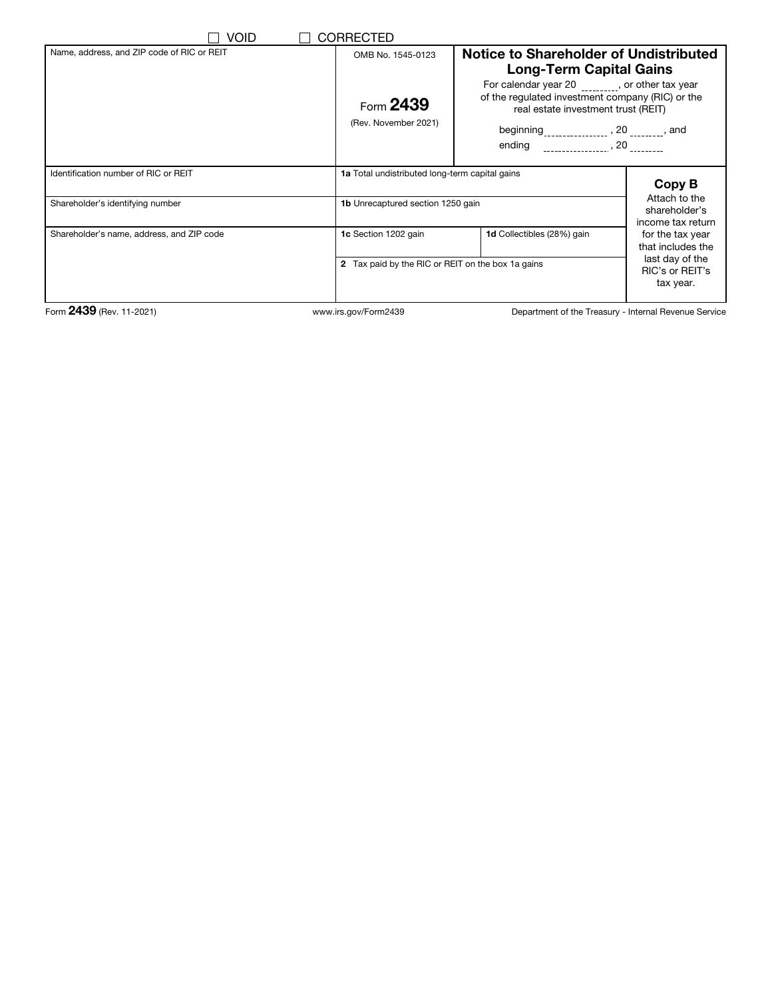| <b>VOID</b>                                | <b>CORRECTED</b>                                  |                                                                                                                                                                                                         |                                                     |
|--------------------------------------------|---------------------------------------------------|---------------------------------------------------------------------------------------------------------------------------------------------------------------------------------------------------------|-----------------------------------------------------|
| Name, address, and ZIP code of RIC or REIT | OMB No. 1545-0123                                 | Notice to Shareholder of Undistributed<br><b>Long-Term Capital Gains</b>                                                                                                                                |                                                     |
|                                            | Form 2439<br>(Rev. November 2021)                 | For calendar year 20 _________, or other tax year<br>of the regulated investment company (RIC) or the<br>real estate investment trust (REIT)<br>beginning <sub>_______________</sub> , 20 ________, and |                                                     |
| Identification number of RIC or REIT       | 1a Total undistributed long-term capital gains    |                                                                                                                                                                                                         | Copy B                                              |
| Shareholder's identifying number           | <b>1b</b> Unrecaptured section 1250 gain          |                                                                                                                                                                                                         | Attach to the<br>shareholder's<br>income tax return |
| Shareholder's name, address, and ZIP code  | 1c Section 1202 gain                              | 1d Collectibles (28%) gain                                                                                                                                                                              | for the tax year<br>that includes the               |
|                                            | 2 Tax paid by the RIC or REIT on the box 1a gains |                                                                                                                                                                                                         | last day of the<br>RIC's or REIT's<br>tax year.     |
| Form 2439 (Rev. 11-2021)                   | www.irs.gov/Form2439                              | Department of the Treasury - Internal Revenue Service                                                                                                                                                   |                                                     |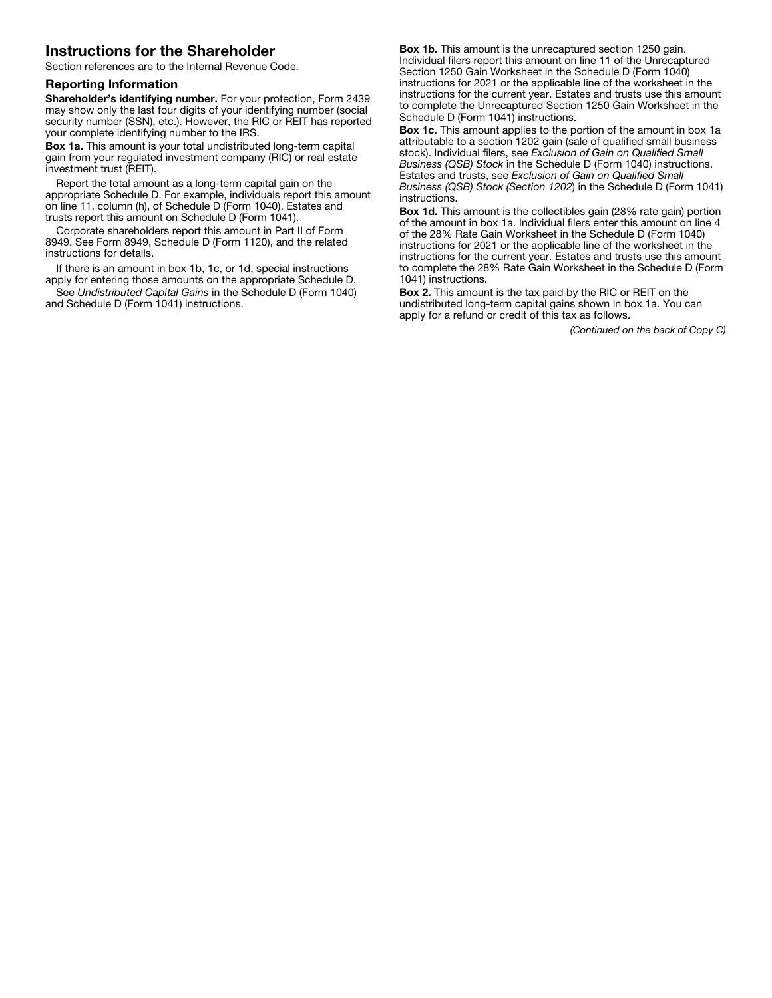# Instructions for the Shareholder

Section references are to the Internal Revenue Code.

#### Reporting Information

Shareholder's identifying number. For your protection, Form 2439 may show only the last four digits of your identifying number (social security number (SSN), etc.). However, the RIC or REIT has reported your complete identifying number to the IRS.

Box 1a. This amount is your total undistributed long-term capital gain from your regulated investment company (RIC) or real estate investment trust (REIT).

Report the total amount as a long-term capital gain on the appropriate Schedule D. For example, individuals report this amount on line 11, column (h), of Schedule D (Form 1040). Estates and trusts report this amount on Schedule D (Form 1041).

Corporate shareholders report this amount in Part II of Form 8949. See Form 8949, Schedule D (Form 1120), and the related instructions for details.

If there is an amount in box 1b, 1c, or 1d, special instructions apply for entering those amounts on the appropriate Schedule D.

See *Undistributed Capital Gains* in the Schedule D (Form 1040) and Schedule D (Form 1041) instructions.

Box 1b. This amount is the unrecaptured section 1250 gain. Individual filers report this amount on line 11 of the Unrecaptured Section 1250 Gain Worksheet in the Schedule D (Form 1040) instructions for 2021 or the applicable line of the worksheet in the instructions for the current year. Estates and trusts use this amount to complete the Unrecaptured Section 1250 Gain Worksheet in the Schedule D (Form 1041) instructions.

Box 1c. This amount applies to the portion of the amount in box 1a attributable to a section 1202 gain (sale of qualified small business stock). Individual filers, see *Exclusion of Gain on Qualified Small Business (QSB) Stock* in the Schedule D (Form 1040) instructions. Estates and trusts, see *Exclusion of Gain on Qualified Small Business (QSB) Stock (Section 1202*) in the Schedule D (Form 1041) instructions.

Box 1d. This amount is the collectibles gain (28% rate gain) portion of the amount in box 1a. Individual filers enter this amount on line 4 of the 28% Rate Gain Worksheet in the Schedule D (Form 1040) instructions for 2021 or the applicable line of the worksheet in the instructions for the current year. Estates and trusts use this amount to complete the 28% Rate Gain Worksheet in the Schedule D (Form 1041) instructions.

Box 2. This amount is the tax paid by the RIC or REIT on the undistributed long-term capital gains shown in box 1a. You can apply for a refund or credit of this tax as follows.

*(Continued on the back of Copy C)*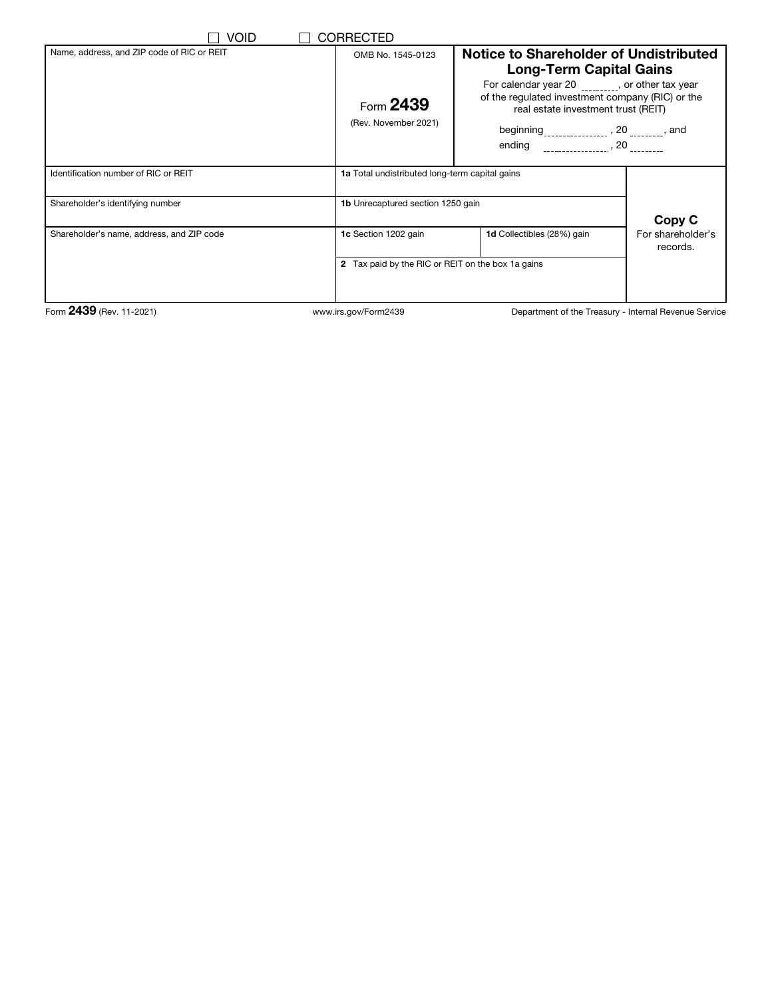| Void                                       | <b>CORRECTED</b>                                  |                                                                                                                                                                                                                                                     |                               |
|--------------------------------------------|---------------------------------------------------|-----------------------------------------------------------------------------------------------------------------------------------------------------------------------------------------------------------------------------------------------------|-------------------------------|
| Name, address, and ZIP code of RIC or REIT | OMB No. 1545-0123                                 | Notice to Shareholder of Undistributed<br><b>Long-Term Capital Gains</b>                                                                                                                                                                            |                               |
|                                            | Form 2439<br>(Rev. November 2021)                 | For calendar year 20 _________, or other tax year<br>of the regulated investment company (RIC) or the<br>real estate investment trust (REIT)<br>beginning <sub>________________</sub> , 20 ________, and<br>ending _________________, 20 __________ |                               |
| Identification number of RIC or REIT       | 1a Total undistributed long-term capital gains    |                                                                                                                                                                                                                                                     |                               |
| Shareholder's identifying number           | <b>1b</b> Unrecaptured section 1250 gain          |                                                                                                                                                                                                                                                     | Copy C                        |
| Shareholder's name, address, and ZIP code  | 1c Section 1202 gain                              | 1d Collectibles (28%) gain                                                                                                                                                                                                                          | For shareholder's<br>records. |
|                                            | 2 Tax paid by the RIC or REIT on the box 1a gains |                                                                                                                                                                                                                                                     |                               |
| Form 2439 (Rev. 11-2021)                   | www.irs.gov/Form2439                              | Department of the Treasury - Internal Revenue Service                                                                                                                                                                                               |                               |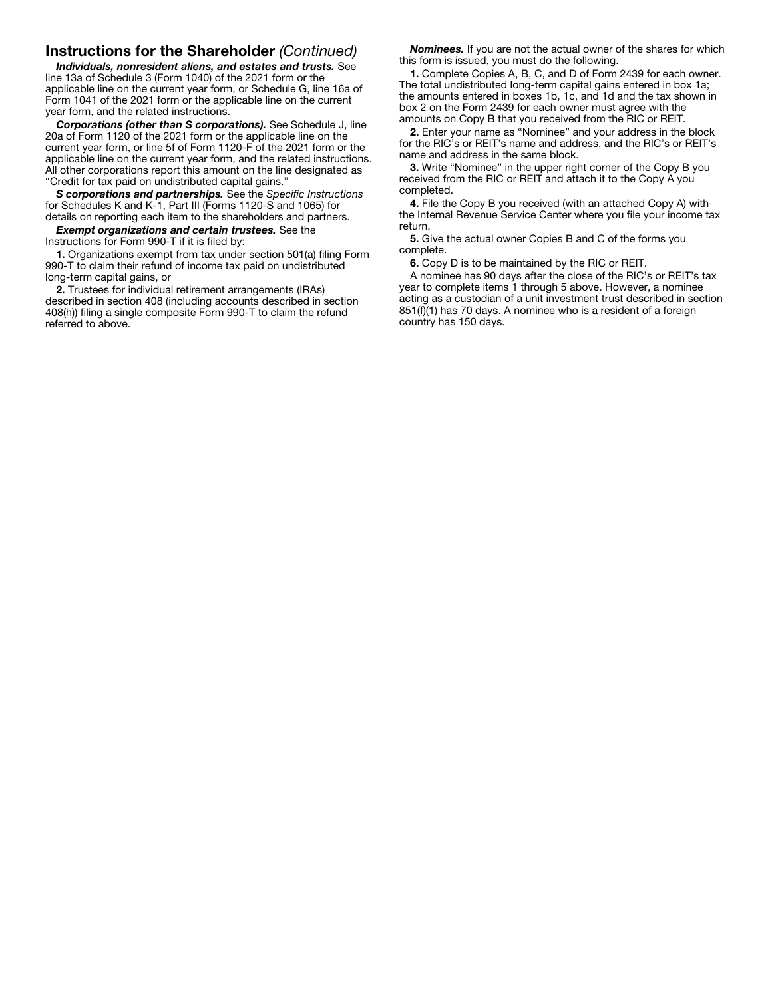## Instructions for the Shareholder *(Continued)*

*Individuals, nonresident aliens, and estates and trusts.* See line 13a of Schedule 3 (Form 1040) of the 2021 form or the applicable line on the current year form, or Schedule G, line 16a of Form 1041 of the 2021 form or the applicable line on the current year form, and the related instructions.

*Corporations (other than S corporations).* See Schedule J, line 20a of Form 1120 of the 2021 form or the applicable line on the current year form, or line 5f of Form 1120-F of the 2021 form or the applicable line on the current year form, and the related instructions. All other corporations report this amount on the line designated as "Credit for tax paid on undistributed capital gains."

*S corporations and partnerships.* See the *Specific Instructions* for Schedules K and K-1, Part III (Forms 1120-S and 1065) for details on reporting each item to the shareholders and partners.

*Exempt organizations and certain trustees.* See the Instructions for Form 990-T if it is filed by:

1. Organizations exempt from tax under section 501(a) filing Form 990-T to claim their refund of income tax paid on undistributed long-term capital gains, or

2. Trustees for individual retirement arrangements (IRAs) described in section 408 (including accounts described in section 408(h)) filing a single composite Form 990-T to claim the refund referred to above.

*Nominees.* If you are not the actual owner of the shares for which this form is issued, you must do the following.

1. Complete Copies A, B, C, and D of Form 2439 for each owner. The total undistributed long-term capital gains entered in box 1a; the amounts entered in boxes 1b, 1c, and 1d and the tax shown in box 2 on the Form 2439 for each owner must agree with the amounts on Copy B that you received from the RIC or REIT.

2. Enter your name as "Nominee" and your address in the block for the RIC's or REIT's name and address, and the RIC's or REIT's name and address in the same block.

3. Write "Nominee" in the upper right corner of the Copy B you received from the RIC or REIT and attach it to the Copy A you completed.

4. File the Copy B you received (with an attached Copy A) with the Internal Revenue Service Center where you file your income tax return.

5. Give the actual owner Copies B and C of the forms you complete.

6. Copy D is to be maintained by the RIC or REIT.

A nominee has 90 days after the close of the RIC's or REIT's tax year to complete items 1 through 5 above. However, a nominee acting as a custodian of a unit investment trust described in section 851(f)(1) has 70 days. A nominee who is a resident of a foreign country has 150 days.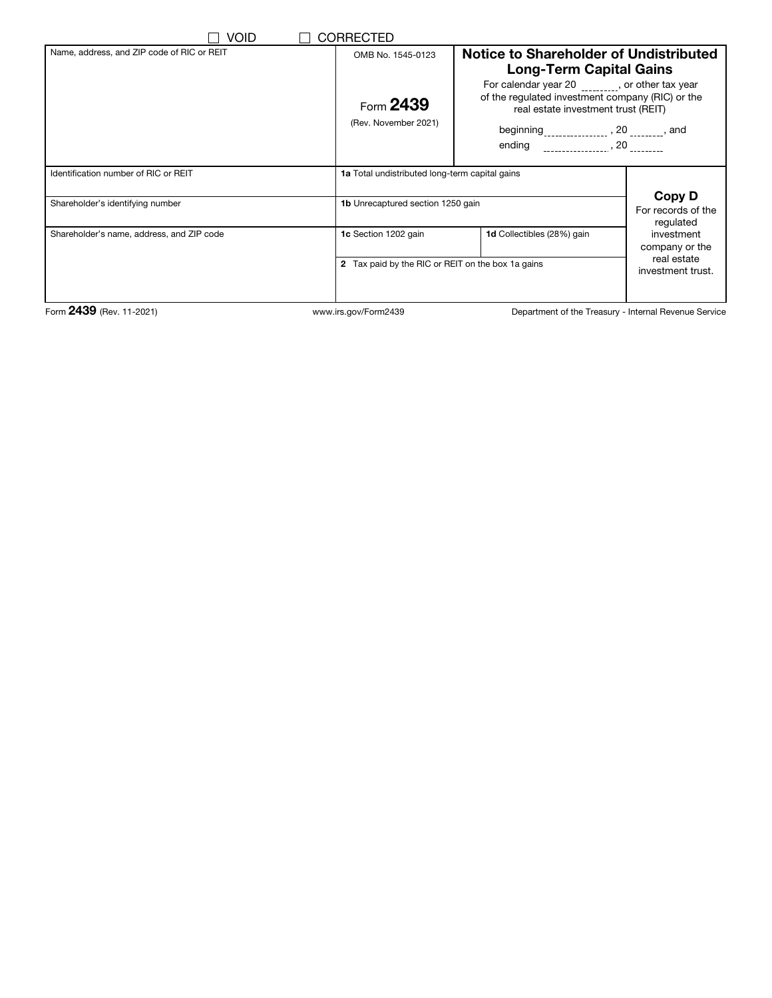| Void                                       | <b>CORRECTED</b>                                  |                                                                                                                                                                                                        |                                           |
|--------------------------------------------|---------------------------------------------------|--------------------------------------------------------------------------------------------------------------------------------------------------------------------------------------------------------|-------------------------------------------|
| Name, address, and ZIP code of RIC or REIT | OMB No. 1545-0123                                 | Notice to Shareholder of Undistributed<br><b>Long-Term Capital Gains</b>                                                                                                                               |                                           |
|                                            | Form 2439<br>(Rev. November 2021)                 | For calendar year 20 _______, or other tax year<br>of the regulated investment company (RIC) or the<br>real estate investment trust (REIT)<br>beginning <sub>________________</sub> , 20 ________, and |                                           |
| Identification number of RIC or REIT       | 1a Total undistributed long-term capital gains    |                                                                                                                                                                                                        |                                           |
| Shareholder's identifying number           | <b>1b</b> Unrecaptured section 1250 gain          |                                                                                                                                                                                                        | Copy D<br>For records of the<br>regulated |
| Shareholder's name, address, and ZIP code  | 1c Section 1202 gain                              | 1d Collectibles (28%) gain                                                                                                                                                                             | investment<br>company or the              |
|                                            | 2 Tax paid by the RIC or REIT on the box 1a gains |                                                                                                                                                                                                        | real estate<br>investment trust.          |
| Form 2439 (Rev. 11-2021)                   | www.irs.gov/Form2439                              | Department of the Treasury - Internal Revenue Service                                                                                                                                                  |                                           |